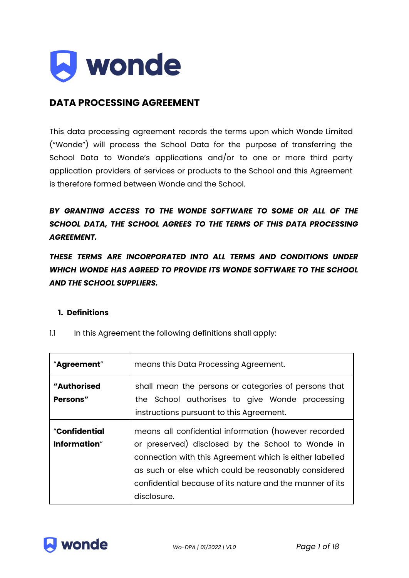

# **DATA PROCESSING AGREEMENT**

This data processing agreement records the terms upon which Wonde Limited ("Wonde") will process the School Data for the purpose of transferring the School Data to Wonde's applications and/or to one or more third party application providers of services or products to the School and this Agreement is therefore formed between Wonde and the School.

*BY GRANTING ACCESS TO THE WONDE SOFTWARE TO SOME OR ALL OF THE SCHOOL DATA, THE SCHOOL AGREES TO THE TERMS OF THIS DATA PROCESSING AGREEMENT.*

*THESE TERMS ARE INCORPORATED INTO ALL TERMS AND CONDITIONS UNDER WHICH WONDE HAS AGREED TO PROVIDE ITS WONDE SOFTWARE TO THE SCHOOL AND THE SCHOOL SUPPLIERS.*

## **1. Definitions**

| "Agreement"                    | means this Data Processing Agreement.                                                                                                                                                                                                                                                                   |
|--------------------------------|---------------------------------------------------------------------------------------------------------------------------------------------------------------------------------------------------------------------------------------------------------------------------------------------------------|
| "Authorised<br><b>Persons"</b> | shall mean the persons or categories of persons that<br>the School authorises to give Wonde processing<br>instructions pursuant to this Agreement.                                                                                                                                                      |
| "Confidential<br>Information"  | means all confidential information (however recorded<br>or preserved) disclosed by the School to Wonde in<br>connection with this Agreement which is either labelled<br>as such or else which could be reasonably considered<br>confidential because of its nature and the manner of its<br>disclosure. |

1.1 In this Agreement the following definitions shall apply:

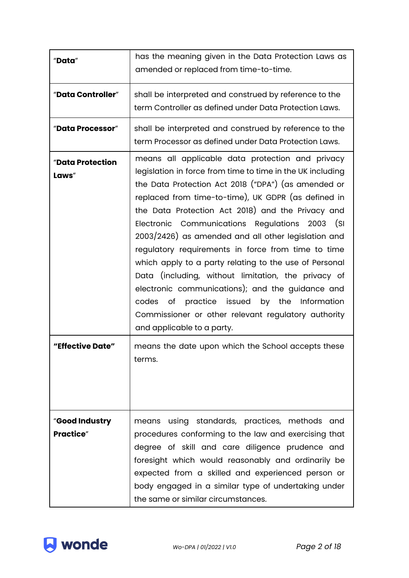| "Data"                              | has the meaning given in the Data Protection Laws as<br>amended or replaced from time-to-time.                                                                                                                                                                                                                                                                                                                                                                                                                                                                                                                                                                                                                                                               |
|-------------------------------------|--------------------------------------------------------------------------------------------------------------------------------------------------------------------------------------------------------------------------------------------------------------------------------------------------------------------------------------------------------------------------------------------------------------------------------------------------------------------------------------------------------------------------------------------------------------------------------------------------------------------------------------------------------------------------------------------------------------------------------------------------------------|
| "Data Controller"                   | shall be interpreted and construed by reference to the<br>term Controller as defined under Data Protection Laws.                                                                                                                                                                                                                                                                                                                                                                                                                                                                                                                                                                                                                                             |
| "Data Processor"                    | shall be interpreted and construed by reference to the<br>term Processor as defined under Data Protection Laws.                                                                                                                                                                                                                                                                                                                                                                                                                                                                                                                                                                                                                                              |
| "Data Protection<br>Laws"           | means all applicable data protection and privacy<br>legislation in force from time to time in the UK including<br>the Data Protection Act 2018 ("DPA") (as amended or<br>replaced from time-to-time), UK GDPR (as defined in<br>the Data Protection Act 2018) and the Privacy and<br>Electronic Communications Regulations 2003 (SI<br>2003/2426) as amended and all other legislation and<br>regulatory requirements in force from time to time<br>which apply to a party relating to the use of Personal<br>Data (including, without limitation, the privacy of<br>electronic communications); and the guidance and<br>codes of practice issued<br>by the Information<br>Commissioner or other relevant regulatory authority<br>and applicable to a party. |
| "Effective Date"                    | means the date upon which the School accepts these<br>terms.                                                                                                                                                                                                                                                                                                                                                                                                                                                                                                                                                                                                                                                                                                 |
| "Good Industry<br><b>Practice</b> " | using standards, practices, methods<br>and<br>means<br>procedures conforming to the law and exercising that<br>degree of skill and care diligence prudence and<br>foresight which would reasonably and ordinarily be<br>expected from a skilled and experienced person or<br>body engaged in a similar type of undertaking under<br>the same or similar circumstances.                                                                                                                                                                                                                                                                                                                                                                                       |

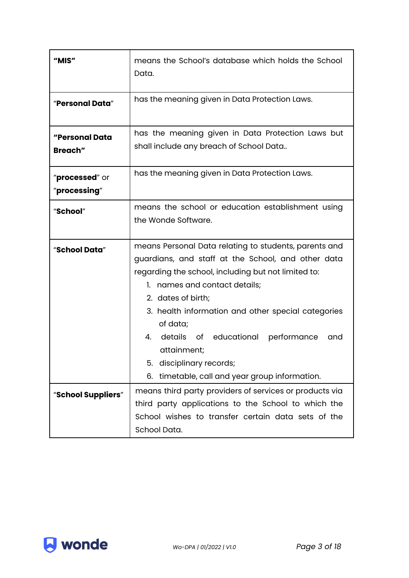| means the School's database which holds the School<br>Data.                                                                                                                                                                                                                                                                                                                                                                                 |
|---------------------------------------------------------------------------------------------------------------------------------------------------------------------------------------------------------------------------------------------------------------------------------------------------------------------------------------------------------------------------------------------------------------------------------------------|
| has the meaning given in Data Protection Laws.                                                                                                                                                                                                                                                                                                                                                                                              |
| has the meaning given in Data Protection Laws but<br>shall include any breach of School Data                                                                                                                                                                                                                                                                                                                                                |
| has the meaning given in Data Protection Laws.                                                                                                                                                                                                                                                                                                                                                                                              |
| means the school or education establishment using<br>the Wonde Software.                                                                                                                                                                                                                                                                                                                                                                    |
| means Personal Data relating to students, parents and<br>guardians, and staff at the School, and other data<br>regarding the school, including but not limited to:<br>1. names and contact details;<br>2. dates of birth;<br>3. health information and other special categories<br>of data;<br>4. details of educational performance<br>and<br>attainment;<br>disciplinary records;<br>5.<br>6. timetable, call and year group information. |
| means third party providers of services or products via<br>third party applications to the School to which the<br>School wishes to transfer certain data sets of the<br>School Data.                                                                                                                                                                                                                                                        |
|                                                                                                                                                                                                                                                                                                                                                                                                                                             |

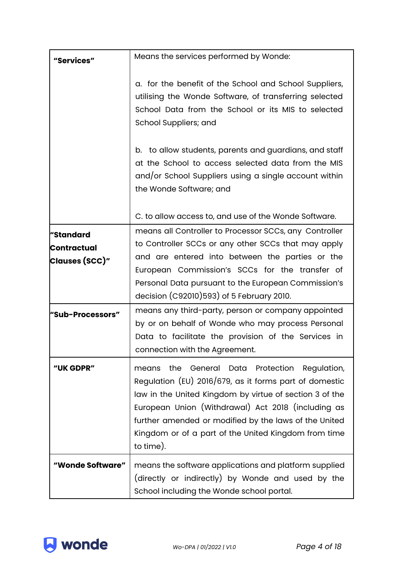| "Services"                                        | Means the services performed by Wonde:                                                                                                                                                                                                                                                                                                                       |
|---------------------------------------------------|--------------------------------------------------------------------------------------------------------------------------------------------------------------------------------------------------------------------------------------------------------------------------------------------------------------------------------------------------------------|
|                                                   | a. for the benefit of the School and School Suppliers,<br>utilising the Wonde Software, of transferring selected<br>School Data from the School or its MIS to selected<br>School Suppliers; and                                                                                                                                                              |
|                                                   | b. to allow students, parents and guardians, and staff<br>at the School to access selected data from the MIS<br>and/or School Suppliers using a single account within<br>the Wonde Software; and                                                                                                                                                             |
|                                                   | C. to allow access to, and use of the Wonde Software.                                                                                                                                                                                                                                                                                                        |
| "Standard<br><b>Contractual</b><br>Clauses (SCC)" | means all Controller to Processor SCCs, any Controller<br>to Controller SCCs or any other SCCs that may apply<br>and are entered into between the parties or the<br>European Commission's SCCs for the transfer of<br>Personal Data pursuant to the European Commission's<br>decision (C92010)593) of 5 February 2010.                                       |
| "Sub-Processors"                                  | means any third-party, person or company appointed<br>by or on behalf of Wonde who may process Personal<br>Data to facilitate the provision of the Services in<br>connection with the Agreement.                                                                                                                                                             |
| "UK GDPR"                                         | the<br>General Data Protection Regulation,<br>means<br>Regulation (EU) 2016/679, as it forms part of domestic<br>law in the United Kingdom by virtue of section 3 of the<br>European Union (Withdrawal) Act 2018 (including as<br>further amended or modified by the laws of the United<br>Kingdom or of a part of the United Kingdom from time<br>to time). |
| "Wonde Software"                                  | means the software applications and platform supplied<br>(directly or indirectly) by Wonde and used by the<br>School including the Wonde school portal.                                                                                                                                                                                                      |

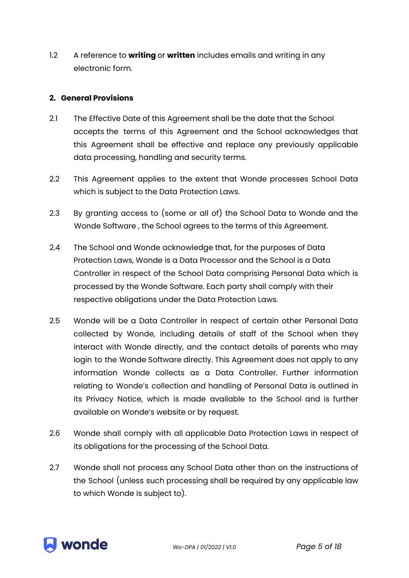1.2 A reference to **writing** or **written** includes emails and writing in any electronic form.

## **2. General Provisions**

- 2.1 The Effective Date of this Agreement shall be the date that the School accepts the terms of this Agreement and the School acknowledges that this Agreement shall be effective and replace any previously applicable data processing, handling and security terms.
- 2.2 This Agreement applies to the extent that Wonde processes School Data which is subject to the Data Protection Laws.
- 2.3 By granting access to (some or all of) the School Data to Wonde and the Wonde Software , the School agrees to the terms of this Agreement.
- 2.4 The School and Wonde acknowledge that, for the purposes of Data Protection Laws, Wonde is a Data Processor and the School is a Data Controller in respect of the School Data comprising Personal Data which is processed by the Wonde Software. Each party shall comply with their respective obligations under the Data Protection Laws.
- 2.5 Wonde will be a Data Controller in respect of certain other Personal Data collected by Wonde, including details of staff of the School when they interact with Wonde directly, and the contact details of parents who may login to the Wonde Software directly. This Agreement does not apply to any information Wonde collects as a Data Controller. Further information relating to Wonde's collection and handling of Personal Data is outlined in its Privacy Notice, which is made available to the School and is further available on Wonde's website or by request.
- 2.6 Wonde shall comply with all applicable Data Protection Laws in respect of its obligations for the processing of the School Data.
- 2.7 Wonde shall not process any School Data other than on the instructions of the School (unless such processing shall be required by any applicable law to which Wonde is subject to).

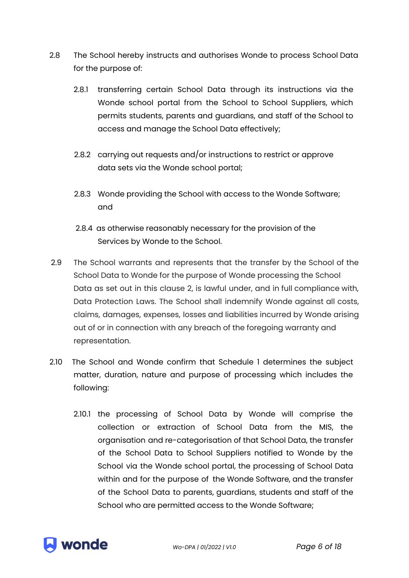- 2.8 The School hereby instructs and authorises Wonde to process School Data for the purpose of:
	- 2.8.1 transferring certain School Data through its instructions via the Wonde school portal from the School to School Suppliers, which permits students, parents and guardians, and staff of the School to access and manage the School Data effectively;
	- 2.8.2 carrying out requests and/or instructions to restrict or approve data sets via the Wonde school portal;
	- 2.8.3 Wonde providing the School with access to the Wonde Software; and
	- 2.8.4 as otherwise reasonably necessary for the provision of the Services by Wonde to the School.
- 2.9 The School warrants and represents that the transfer by the School of the School Data to Wonde for the purpose of Wonde processing the School Data as set out in this clause 2, is lawful under, and in full compliance with, Data Protection Laws. The School shall indemnify Wonde against all costs, claims, damages, expenses, losses and liabilities incurred by Wonde arising out of or in connection with any breach of the foregoing warranty and representation.
- 2.10 The School and Wonde confirm that Schedule 1 determines the subject matter, duration, nature and purpose of processing which includes the following:
	- 2.10.1 the processing of School Data by Wonde will comprise the collection or extraction of School Data from the MIS, the organisation and re-categorisation of that School Data, the transfer of the School Data to School Suppliers notified to Wonde by the School via the Wonde school portal, the processing of School Data within and for the purpose of the Wonde Software, and the transfer of the School Data to parents, guardians, students and staff of the School who are permitted access to the Wonde Software;



*Wo-DPA | 01/2022 | V1.0 Page 6 of 18*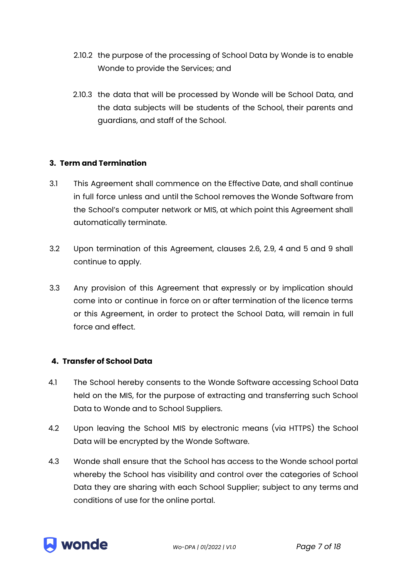- 2.10.2 the purpose of the processing of School Data by Wonde is to enable Wonde to provide the Services; and
- 2.10.3 the data that will be processed by Wonde will be School Data, and the data subjects will be students of the School, their parents and guardians, and staff of the School.

## **3. Term and Termination**

- 3.1 This Agreement shall commence on the Effective Date, and shall continue in full force unless and until the School removes the Wonde Software from the School's computer network or MIS, at which point this Agreement shall automatically terminate.
- 3.2 Upon termination of this Agreement, clauses 2.6, 2.9, 4 and 5 and 9 shall continue to apply.
- 3.3 Any provision of this Agreement that expressly or by implication should come into or continue in force on or after termination of the licence terms or this Agreement, in order to protect the School Data, will remain in full force and effect.

## **4. Transfer of School Data**

- 4.1 The School hereby consents to the Wonde Software accessing School Data held on the MIS, for the purpose of extracting and transferring such School Data to Wonde and to School Suppliers.
- 4.2 Upon leaving the School MIS by electronic means (via HTTPS) the School Data will be encrypted by the Wonde Software.
- 4.3 Wonde shall ensure that the School has access to the Wonde school portal whereby the School has visibility and control over the categories of School Data they are sharing with each School Supplier; subject to any terms and conditions of use for the online portal.

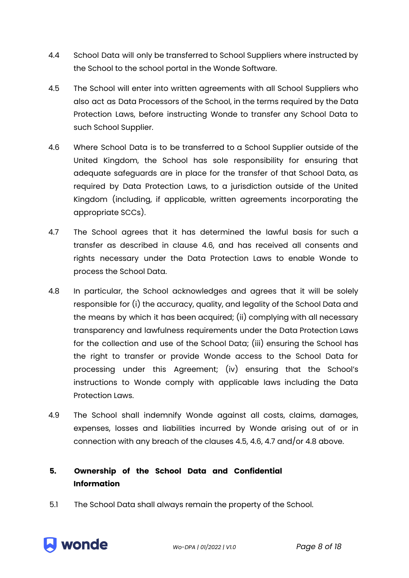- 4.4 School Data will only be transferred to School Suppliers where instructed by the School to the school portal in the Wonde Software.
- 4.5 The School will enter into written agreements with all School Suppliers who also act as Data Processors of the School, in the terms required by the Data Protection Laws, before instructing Wonde to transfer any School Data to such School Supplier.
- 4.6 Where School Data is to be transferred to a School Supplier outside of the United Kingdom, the School has sole responsibility for ensuring that adequate safeguards are in place for the transfer of that School Data, as required by Data Protection Laws, to a jurisdiction outside of the United Kingdom (including, if applicable, written agreements incorporating the appropriate SCCs).
- 4.7 The School agrees that it has determined the lawful basis for such a transfer as described in clause 4.6, and has received all consents and rights necessary under the Data Protection Laws to enable Wonde to process the School Data.
- 4.8 In particular, the School acknowledges and agrees that it will be solely responsible for (i) the accuracy, quality, and legality of the School Data and the means by which it has been acquired; (ii) complying with all necessary transparency and lawfulness requirements under the Data Protection Laws for the collection and use of the School Data; (iii) ensuring the School has the right to transfer or provide Wonde access to the School Data for processing under this Agreement; (iv) ensuring that the School's instructions to Wonde comply with applicable laws including the Data Protection Laws.
- 4.9 The School shall indemnify Wonde against all costs, claims, damages, expenses, losses and liabilities incurred by Wonde arising out of or in connection with any breach of the clauses 4.5, 4.6, 4.7 and/or 4.8 above.

# **5. Ownership of the School Data and Confidential Information**

5.1 The School Data shall always remain the property of the School.



*Wo-DPA | 01/2022 | V1.0 Page 8 of 18*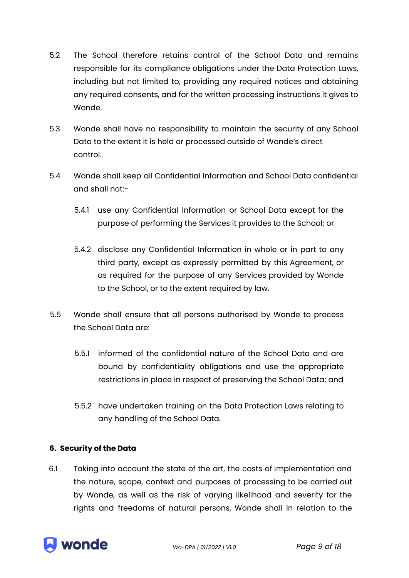- 5.2 The School therefore retains control of the School Data and remains responsible for its compliance obligations under the Data Protection Laws, including but not limited to, providing any required notices and obtaining any required consents, and for the written processing instructions it gives to Wonde.
- 5.3 Wonde shall have no responsibility to maintain the security of any School Data to the extent it is held or processed outside of Wonde's direct control.
- 5.4 Wonde shall keep all Confidential Information and School Data confidential and shall not:-
	- 5.4.1 use any Confidential Information or School Data except for the purpose of performing the Services it provides to the School; or
	- 5.4.2 disclose any Confidential Information in whole or in part to any third party, except as expressly permitted by this Agreement, or as required for the purpose of any Services provided by Wonde to the School, or to the extent required by law.
- 5.5 Wonde shall ensure that all persons authorised by Wonde to process the School Data are:
	- 5.5.1 informed of the confidential nature of the School Data and are bound by confidentiality obligations and use the appropriate restrictions in place in respect of preserving the School Data; and
	- 5.5.2 have undertaken training on the Data Protection Laws relating to any handling of the School Data.

## **6. Security of the Data**

6.1 Taking into account the state of the art, the costs of implementation and the nature, scope, context and purposes of processing to be carried out by Wonde, as well as the risk of varying likelihood and severity for the rights and freedoms of natural persons, Wonde shall in relation to the

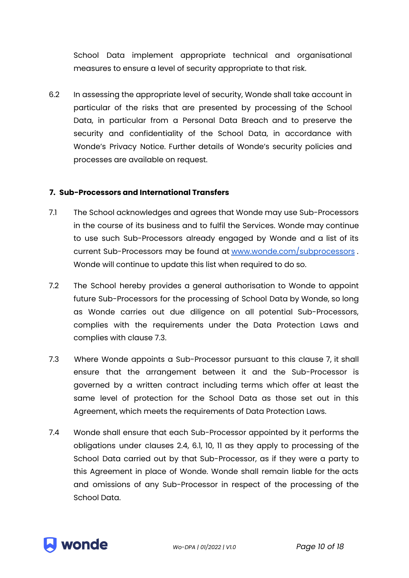School Data implement appropriate technical and organisational measures to ensure a level of security appropriate to that risk.

6.2 In assessing the appropriate level of security, Wonde shall take account in particular of the risks that are presented by processing of the School Data, in particular from a Personal Data Breach and to preserve the security and confidentiality of the School Data, in accordance with Wonde's Privacy Notice. Further details of Wonde's security policies and processes are available on request.

#### **7. Sub-Processors and International Transfers**

- 7.1 The School acknowledges and agrees that Wonde may use Sub-Processors in the course of its business and to fulfil the Services. Wonde may continue to use such Sub-Processors already engaged by Wonde and a list of its current Sub-Processors may be found at [www.wonde.com/subprocessors](http://www.wonde.com/subprocessors) . Wonde will continue to update this list when required to do so.
- 7.2 The School hereby provides a general authorisation to Wonde to appoint future Sub-Processors for the processing of School Data by Wonde, so long as Wonde carries out due diligence on all potential Sub-Processors, complies with the requirements under the Data Protection Laws and complies with clause 7.3.
- 7.3 Where Wonde appoints a Sub-Processor pursuant to this clause 7, it shall ensure that the arrangement between it and the Sub-Processor is governed by a written contract including terms which offer at least the same level of protection for the School Data as those set out in this Agreement, which meets the requirements of Data Protection Laws.
- 7.4 Wonde shall ensure that each Sub-Processor appointed by it performs the obligations under clauses 2.4, 6.1, 10, 11 as they apply to processing of the School Data carried out by that Sub-Processor, as if they were a party to this Agreement in place of Wonde. Wonde shall remain liable for the acts and omissions of any Sub-Processor in respect of the processing of the School Data.

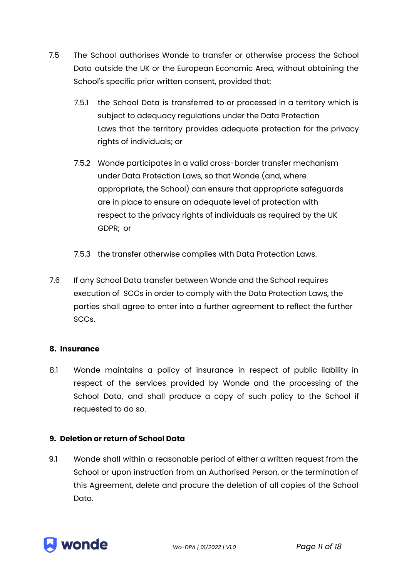- 7.5 The School authorises Wonde to transfer or otherwise process the School Data outside the UK or the European Economic Area, without obtaining the School's specific prior written consent, provided that:
	- 7.5.1 the School Data is transferred to or processed in a territory which is subject to adequacy regulations under the Data Protection Laws that the territory provides adequate protection for the privacy rights of individuals; or
	- 7.5.2 Wonde participates in a valid cross-border transfer mechanism under Data Protection Laws, so that Wonde (and, where appropriate, the School) can ensure that appropriate safeguards are in place to ensure an adequate level of protection with respect to the privacy rights of individuals as required by the UK GDPR; or
	- 7.5.3 the transfer otherwise complies with Data Protection Laws.
- 7.6 If any School Data transfer between Wonde and the School requires execution of SCCs in order to comply with the Data Protection Laws, the parties shall agree to enter into a further agreement to reflect the further SCCs.

## **8. Insurance**

8.1 Wonde maintains a policy of insurance in respect of public liability in respect of the services provided by Wonde and the processing of the School Data, and shall produce a copy of such policy to the School if requested to do so.

## **9. Deletion or return of School Data**

9.1 Wonde shall within a reasonable period of either a written request from the School or upon instruction from an Authorised Person, or the termination of this Agreement, delete and procure the deletion of all copies of the School Data.

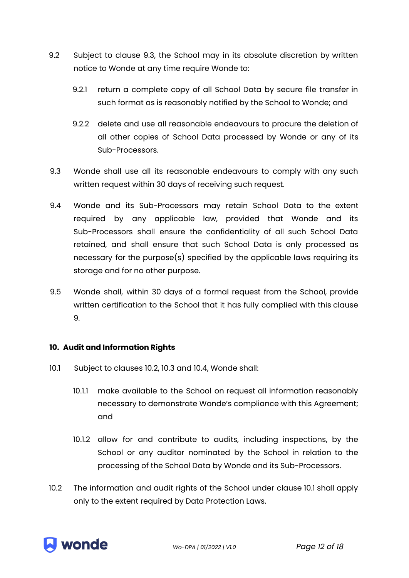- 9.2 Subject to clause 9.3, the School may in its absolute discretion by written notice to Wonde at any time require Wonde to:
	- 9.2.1 return a complete copy of all School Data by secure file transfer in such format as is reasonably notified by the School to Wonde; and
	- 9.2.2 delete and use all reasonable endeavours to procure the deletion of all other copies of School Data processed by Wonde or any of its Sub-Processors.
- 9.3 Wonde shall use all its reasonable endeavours to comply with any such written request within 30 days of receiving such request.
- 9.4 Wonde and its Sub-Processors may retain School Data to the extent required by any applicable law, provided that Wonde and its Sub-Processors shall ensure the confidentiality of all such School Data retained, and shall ensure that such School Data is only processed as necessary for the purpose(s) specified by the applicable laws requiring its storage and for no other purpose.
- 9.5 Wonde shall, within 30 days of a formal request from the School, provide written certification to the School that it has fully complied with this clause 9.

## **10. Audit and Information Rights**

- 10.1 Subject to clauses 10.2, 10.3 and 10.4, Wonde shall:
	- 10.1.1 make available to the School on request all information reasonably necessary to demonstrate Wonde's compliance with this Agreement; and
	- 10.1.2 allow for and contribute to audits, including inspections, by the School or any auditor nominated by the School in relation to the processing of the School Data by Wonde and its Sub-Processors.
- 10.2 The information and audit rights of the School under clause 10.1 shall apply only to the extent required by Data Protection Laws.

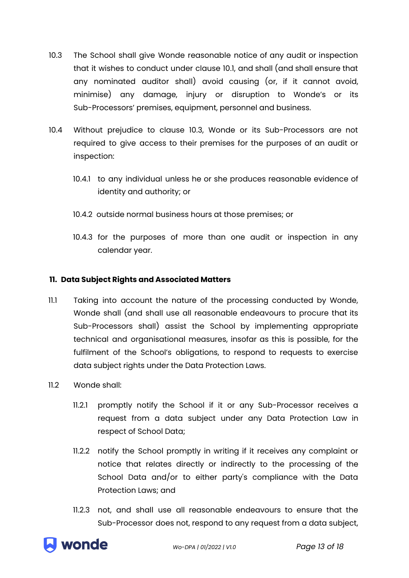- 10.3 The School shall give Wonde reasonable notice of any audit or inspection that it wishes to conduct under clause 10.1, and shall (and shall ensure that any nominated auditor shall) avoid causing (or, if it cannot avoid, minimise) any damage, injury or disruption to Wonde's or its Sub-Processors' premises, equipment, personnel and business.
- 10.4 Without prejudice to clause 10.3, Wonde or its Sub-Processors are not required to give access to their premises for the purposes of an audit or inspection:
	- 10.4.1 to any individual unless he or she produces reasonable evidence of identity and authority; or
	- 10.4.2 outside normal business hours at those premises; or
	- 10.4.3 for the purposes of more than one audit or inspection in any calendar year.

## **11. Data Subject Rights and Associated Matters**

- 11.1 Taking into account the nature of the processing conducted by Wonde, Wonde shall (and shall use all reasonable endeavours to procure that its Sub-Processors shall) assist the School by implementing appropriate technical and organisational measures, insofar as this is possible, for the fulfilment of the School's obligations, to respond to requests to exercise data subject rights under the Data Protection Laws.
- 11.2 Wonde shall:
	- 11.2.1 promptly notify the School if it or any Sub-Processor receives a request from a data subject under any Data Protection Law in respect of School Data;
	- 11.2.2 notify the School promptly in writing if it receives any complaint or notice that relates directly or indirectly to the processing of the School Data and/or to either party's compliance with the Data Protection Laws; and
	- 11.2.3 not, and shall use all reasonable endeavours to ensure that the Sub-Processor does not, respond to any request from a data subject,

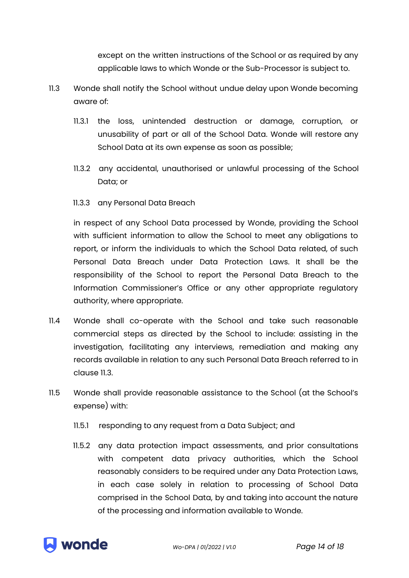except on the written instructions of the School or as required by any applicable laws to which Wonde or the Sub-Processor is subject to.

- 11.3 Wonde shall notify the School without undue delay upon Wonde becoming aware of:
	- 11.3.1 the loss, unintended destruction or damage, corruption, or unusability of part or all of the School Data. Wonde will restore any School Data at its own expense as soon as possible;
	- 11.3.2 any accidental, unauthorised or unlawful processing of the School Data; or
	- 11.3.3 any Personal Data Breach

in respect of any School Data processed by Wonde, providing the School with sufficient information to allow the School to meet any obligations to report, or inform the individuals to which the School Data related, of such Personal Data Breach under Data Protection Laws. It shall be the responsibility of the School to report the Personal Data Breach to the Information Commissioner's Office or any other appropriate regulatory authority, where appropriate.

- 11.4 Wonde shall co-operate with the School and take such reasonable commercial steps as directed by the School to include: assisting in the investigation, facilitating any interviews, remediation and making any records available in relation to any such Personal Data Breach referred to in clause 11.3.
- 11.5 Wonde shall provide reasonable assistance to the School (at the School's expense) with:
	- 11.5.1 responding to any request from a Data Subject; and
	- 11.5.2 any data protection impact assessments, and prior consultations with competent data privacy authorities, which the School reasonably considers to be required under any Data Protection Laws, in each case solely in relation to processing of School Data comprised in the School Data, by and taking into account the nature of the processing and information available to Wonde.

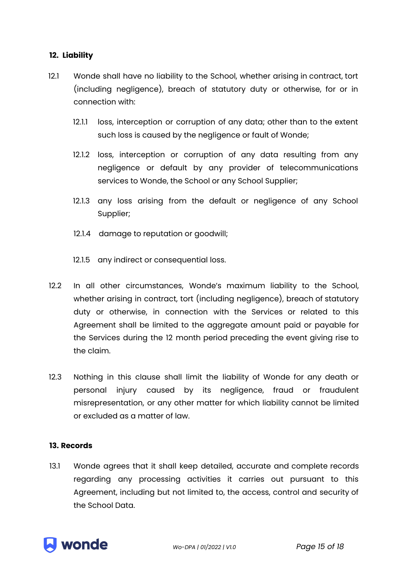## **12. Liability**

- 12.1 Wonde shall have no liability to the School, whether arising in contract, tort (including negligence), breach of statutory duty or otherwise, for or in connection with:
	- 12.1.1 loss, interception or corruption of any data; other than to the extent such loss is caused by the negligence or fault of Wonde;
	- 12.1.2 loss, interception or corruption of any data resulting from any negligence or default by any provider of telecommunications services to Wonde, the School or any School Supplier;
	- 12.1.3 any loss arising from the default or negligence of any School Supplier;
	- 12.1.4 damage to reputation or goodwill;
	- 12.1.5 any indirect or consequential loss.
- 12.2 In all other circumstances, Wonde's maximum liability to the School, whether arising in contract, tort (including negligence), breach of statutory duty or otherwise, in connection with the Services or related to this Agreement shall be limited to the aggregate amount paid or payable for the Services during the 12 month period preceding the event giving rise to the claim.
- 12.3 Nothing in this clause shall limit the liability of Wonde for any death or personal injury caused by its negligence, fraud or fraudulent misrepresentation, or any other matter for which liability cannot be limited or excluded as a matter of law.

## **13. Records**

13.1 Wonde agrees that it shall keep detailed, accurate and complete records regarding any processing activities it carries out pursuant to this Agreement, including but not limited to, the access, control and security of the School Data.

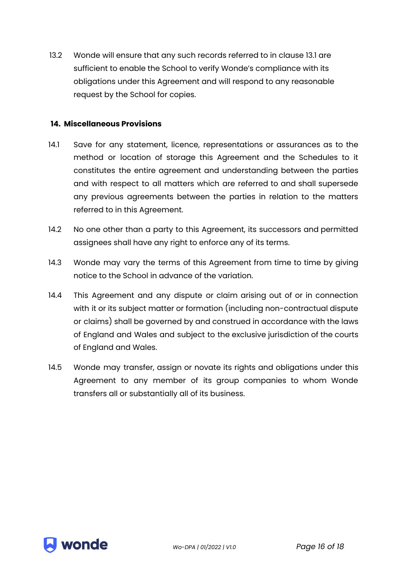13.2 Wonde will ensure that any such records referred to in clause 13.1 are sufficient to enable the School to verify Wonde's compliance with its obligations under this Agreement and will respond to any reasonable request by the School for copies.

#### **14. Miscellaneous Provisions**

- 14.1 Save for any statement, licence, representations or assurances as to the method or location of storage this Agreement and the Schedules to it constitutes the entire agreement and understanding between the parties and with respect to all matters which are referred to and shall supersede any previous agreements between the parties in relation to the matters referred to in this Agreement.
- 14.2 No one other than a party to this Agreement, its successors and permitted assignees shall have any right to enforce any of its terms.
- 14.3 Wonde may vary the terms of this Agreement from time to time by giving notice to the School in advance of the variation.
- 14.4 This Agreement and any dispute or claim arising out of or in connection with it or its subject matter or formation (including non-contractual dispute or claims) shall be governed by and construed in accordance with the laws of England and Wales and subject to the exclusive jurisdiction of the courts of England and Wales.
- 14.5 Wonde may transfer, assign or novate its rights and obligations under this Agreement to any member of its group companies to whom Wonde transfers all or substantially all of its business.

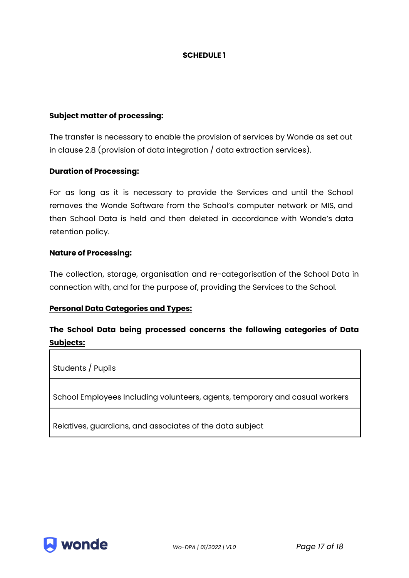#### **SCHEDULE 1**

#### **Subject matter of processing:**

The transfer is necessary to enable the provision of services by Wonde as set out in clause 2.8 (provision of data integration / data extraction services).

#### **Duration of Processing:**

For as long as it is necessary to provide the Services and until the School removes the Wonde Software from the School's computer network or MIS, and then School Data is held and then deleted in accordance with Wonde's data retention policy.

#### **Nature of Processing:**

The collection, storage, organisation and re-categorisation of the School Data in connection with, and for the purpose of, providing the Services to the School.

## **Personal Data Categories and Types:**

## **The School Data being processed concerns the following categories of Data Subjects:**

Students / Pupils

School Employees Including volunteers, agents, temporary and casual workers

Relatives, guardians, and associates of the data subject